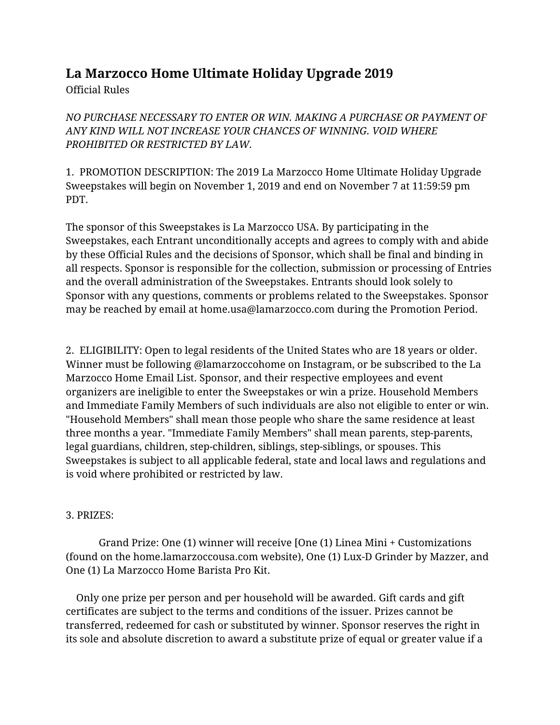## **La Marzocco Home Ultimate Holiday Upgrade 2019**

Official Rules

*NO PURCHASE NECESSARY TO ENTER OR WIN. MAKING A PURCHASE OR PAYMENT OF ANY KIND WILL NOT INCREASE YOUR CHANCES OF WINNING. VOID WHERE PROHIBITED OR RESTRICTED BY LAW.*

1. PROMOTION DESCRIPTION: The 2019 La Marzocco Home Ultimate Holiday Upgrade Sweepstakes will begin on November 1, 2019 and end on November 7 at 11:59:59 pm PDT.

The sponsor of this Sweepstakes is La Marzocco USA. By participating in the Sweepstakes, each Entrant unconditionally accepts and agrees to comply with and abide by these Official Rules and the decisions of Sponsor, which shall be final and binding in all respects. Sponsor is responsible for the collection, submission or processing of Entries and the overall administration of the Sweepstakes. Entrants should look solely to Sponsor with any questions, comments or problems related to the Sweepstakes. Sponsor may be reached by email at home.usa@lamarzocco.com during the Promotion Period.

2. ELIGIBILITY: Open to legal residents of the United States who are 18 years or older. Winner must be following @lamarzoccohome on Instagram, or be subscribed to the La Marzocco Home Email List. Sponsor, and their respective employees and event organizers are ineligible to enter the Sweepstakes or win a prize. Household Members and Immediate Family Members of such individuals are also not eligible to enter or win. "Household Members" shall mean those people who share the same residence at least three months a year. "Immediate Family Members" shall mean parents, step-parents, legal guardians, children, step-children, siblings, step-siblings, or spouses. This Sweepstakes is subject to all applicable federal, state and local laws and regulations and is void where prohibited or restricted by law.

## 3. PRIZES:

Grand Prize: One (1) winner will receive [One (1) Linea Mini + Customizations (found on the home.lamarzoccousa.com website), One (1) Lux-D Grinder by Mazzer, and One (1) La Marzocco Home Barista Pro Kit.

Only one prize per person and per household will be awarded. Gift cards and gift certificates are subject to the terms and conditions of the issuer. Prizes cannot be transferred, redeemed for cash or substituted by winner. Sponsor reserves the right in its sole and absolute discretion to award a substitute prize of equal or greater value if a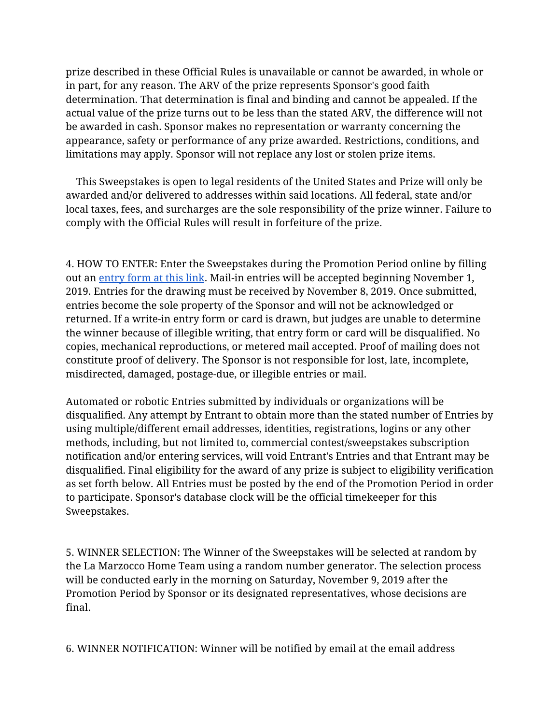prize described in these Official Rules is unavailable or cannot be awarded, in whole or in part, for any reason. The ARV of the prize represents Sponsor's good faith determination. That determination is final and binding and cannot be appealed. If the actual value of the prize turns out to be less than the stated ARV, the difference will not be awarded in cash. Sponsor makes no representation or warranty concerning the appearance, safety or performance of any prize awarded. Restrictions, conditions, and limitations may apply. Sponsor will not replace any lost or stolen prize items.

This Sweepstakes is open to legal residents of the United States and Prize will only be awarded and/or delivered to addresses within said locations. All federal, state and/or local taxes, fees, and surcharges are the sole responsibility of the prize winner. Failure to comply with the Official Rules will result in forfeiture of the prize.

4. HOW TO ENTER: Enter the Sweepstakes during the Promotion Period online by filling out an [entry](https://forms.gle/ANpD44NvmQCxhQsy7) form at this link. Mail-in entries will be accepted beginning November 1, 2019. Entries for the drawing must be received by November 8, 2019. Once submitted, entries become the sole property of the Sponsor and will not be acknowledged or returned. If a write-in entry form or card is drawn, but judges are unable to determine the winner because of illegible writing, that entry form or card will be disqualified. No copies, mechanical reproductions, or metered mail accepted. Proof of mailing does not constitute proof of delivery. The Sponsor is not responsible for lost, late, incomplete, misdirected, damaged, postage-due, or illegible entries or mail.

Automated or robotic Entries submitted by individuals or organizations will be disqualified. Any attempt by Entrant to obtain more than the stated number of Entries by using multiple/different email addresses, identities, registrations, logins or any other methods, including, but not limited to, commercial contest/sweepstakes subscription notification and/or entering services, will void Entrant's Entries and that Entrant may be disqualified. Final eligibility for the award of any prize is subject to eligibility verification as set forth below. All Entries must be posted by the end of the Promotion Period in order to participate. Sponsor's database clock will be the official timekeeper for this Sweepstakes.

5. WINNER SELECTION: The Winner of the Sweepstakes will be selected at random by the La Marzocco Home Team using a random number generator. The selection process will be conducted early in the morning on Saturday, November 9, 2019 after the Promotion Period by Sponsor or its designated representatives, whose decisions are final.

6. WINNER NOTIFICATION: Winner will be notified by email at the email address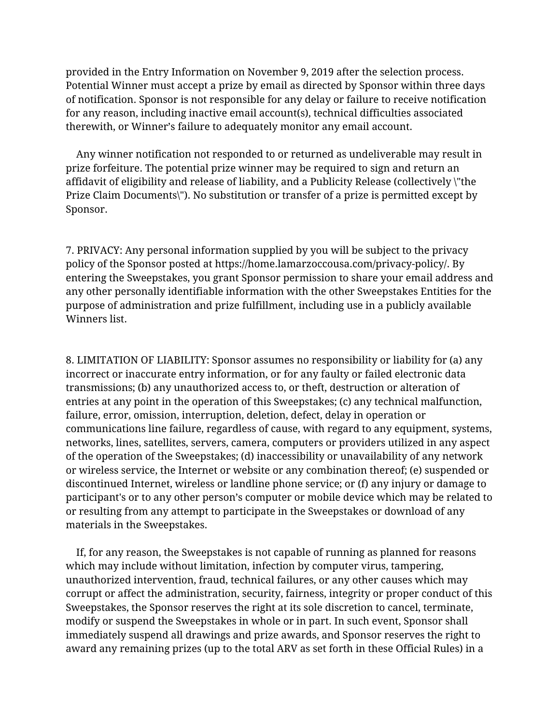provided in the Entry Information on November 9, 2019 after the selection process. Potential Winner must accept a prize by email as directed by Sponsor within three days of notification. Sponsor is not responsible for any delay or failure to receive notification for any reason, including inactive email account(s), technical difficulties associated therewith, or Winner's failure to adequately monitor any email account.

Any winner notification not responded to or returned as undeliverable may result in prize forfeiture. The potential prize winner may be required to sign and return an affidavit of eligibility and release of liability, and a Publicity Release (collectively \"the Prize Claim Documents\"). No substitution or transfer of a prize is permitted except by Sponsor.

7. PRIVACY: Any personal information supplied by you will be subject to the privacy policy of the Sponsor posted at https://home.lamarzoccousa.com/privacy-policy/. By entering the Sweepstakes, you grant Sponsor permission to share your email address and any other personally identifiable information with the other Sweepstakes Entities for the purpose of administration and prize fulfillment, including use in a publicly available Winners list.

8. LIMITATION OF LIABILITY: Sponsor assumes no responsibility or liability for (a) any incorrect or inaccurate entry information, or for any faulty or failed electronic data transmissions; (b) any unauthorized access to, or theft, destruction or alteration of entries at any point in the operation of this Sweepstakes; (c) any technical malfunction, failure, error, omission, interruption, deletion, defect, delay in operation or communications line failure, regardless of cause, with regard to any equipment, systems, networks, lines, satellites, servers, camera, computers or providers utilized in any aspect of the operation of the Sweepstakes; (d) inaccessibility or unavailability of any network or wireless service, the Internet or website or any combination thereof; (e) suspended or discontinued Internet, wireless or landline phone service; or (f) any injury or damage to participant's or to any other person's computer or mobile device which may be related to or resulting from any attempt to participate in the Sweepstakes or download of any materials in the Sweepstakes.

If, for any reason, the Sweepstakes is not capable of running as planned for reasons which may include without limitation, infection by computer virus, tampering, unauthorized intervention, fraud, technical failures, or any other causes which may corrupt or affect the administration, security, fairness, integrity or proper conduct of this Sweepstakes, the Sponsor reserves the right at its sole discretion to cancel, terminate, modify or suspend the Sweepstakes in whole or in part. In such event, Sponsor shall immediately suspend all drawings and prize awards, and Sponsor reserves the right to award any remaining prizes (up to the total ARV as set forth in these Official Rules) in a